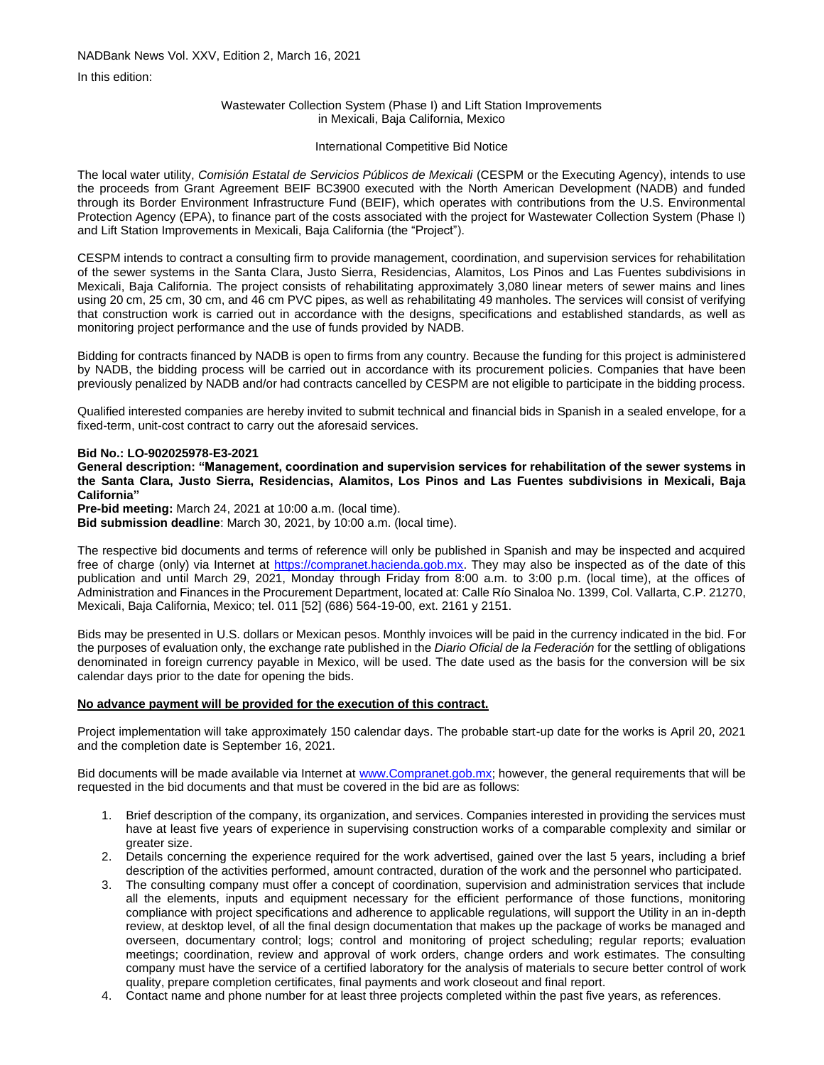In this edition:

### Wastewater Collection System (Phase I) and Lift Station Improvements in Mexicali, Baja California, Mexico

## International Competitive Bid Notice

The local water utility, *Comisión Estatal de Servicios Públicos de Mexicali* (CESPM or the Executing Agency), intends to use the proceeds from Grant Agreement BEIF BC3900 executed with the North American Development (NADB) and funded through its Border Environment Infrastructure Fund (BEIF), which operates with contributions from the U.S. Environmental Protection Agency (EPA), to finance part of the costs associated with the project for Wastewater Collection System (Phase I) and Lift Station Improvements in Mexicali, Baja California (the "Project").

CESPM intends to contract a consulting firm to provide management, coordination, and supervision services for rehabilitation of the sewer systems in the Santa Clara, Justo Sierra, Residencias, Alamitos, Los Pinos and Las Fuentes subdivisions in Mexicali, Baja California. The project consists of rehabilitating approximately 3,080 linear meters of sewer mains and lines using 20 cm, 25 cm, 30 cm, and 46 cm PVC pipes, as well as rehabilitating 49 manholes. The services will consist of verifying that construction work is carried out in accordance with the designs, specifications and established standards, as well as monitoring project performance and the use of funds provided by NADB.

Bidding for contracts financed by NADB is open to firms from any country. Because the funding for this project is administered by NADB, the bidding process will be carried out in accordance with its procurement policies. Companies that have been previously penalized by NADB and/or had contracts cancelled by CESPM are not eligible to participate in the bidding process.

Qualified interested companies are hereby invited to submit technical and financial bids in Spanish in a sealed envelope, for a fixed-term, unit-cost contract to carry out the aforesaid services.

### **Bid No.: LO-902025978-E3-2021**

**General description: "Management, coordination and supervision services for rehabilitation of the sewer systems in the Santa Clara, Justo Sierra, Residencias, Alamitos, Los Pinos and Las Fuentes subdivisions in Mexicali, Baja California"**

**Pre-bid meeting:** March 24, 2021 at 10:00 a.m. (local time).

**Bid submission deadline**: March 30, 2021, by 10:00 a.m. (local time).

The respective bid documents and terms of reference will only be published in Spanish and may be inspected and acquired free of charge (only) via Internet at [https://compranet.hacienda.gob.mx.](https://compranet.hacienda.gob.mx/) They may also be inspected as of the date of this publication and until March 29, 2021, Monday through Friday from 8:00 a.m. to 3:00 p.m. (local time), at the offices of Administration and Finances in the Procurement Department, located at: Calle Río Sinaloa No. 1399, Col. Vallarta, C.P. 21270, Mexicali, Baja California, Mexico; tel. 011 [52] (686) 564-19-00, ext. 2161 y 2151.

Bids may be presented in U.S. dollars or Mexican pesos. Monthly invoices will be paid in the currency indicated in the bid. For the purposes of evaluation only, the exchange rate published in the *Diario Oficial de la Federación* for the settling of obligations denominated in foreign currency payable in Mexico, will be used. The date used as the basis for the conversion will be six calendar days prior to the date for opening the bids.

# **No advance payment will be provided for the execution of this contract.**

Project implementation will take approximately 150 calendar days. The probable start-up date for the works is April 20, 2021 and the completion date is September 16, 2021.

Bid documents will be made available via Internet at [www.Compranet.gob.mx;](http://www.compranet.gob.mx/) however, the general requirements that will be requested in the bid documents and that must be covered in the bid are as follows:

- 1. Brief description of the company, its organization, and services. Companies interested in providing the services must have at least five years of experience in supervising construction works of a comparable complexity and similar or greater size.
- 2. Details concerning the experience required for the work advertised, gained over the last 5 years, including a brief description of the activities performed, amount contracted, duration of the work and the personnel who participated.
- 3. The consulting company must offer a concept of coordination, supervision and administration services that include all the elements, inputs and equipment necessary for the efficient performance of those functions, monitoring compliance with project specifications and adherence to applicable regulations, will support the Utility in an in-depth review, at desktop level, of all the final design documentation that makes up the package of works be managed and overseen, documentary control; logs; control and monitoring of project scheduling; regular reports; evaluation meetings; coordination, review and approval of work orders, change orders and work estimates. The consulting company must have the service of a certified laboratory for the analysis of materials to secure better control of work quality, prepare completion certificates, final payments and work closeout and final report.
- 4. Contact name and phone number for at least three projects completed within the past five years, as references.